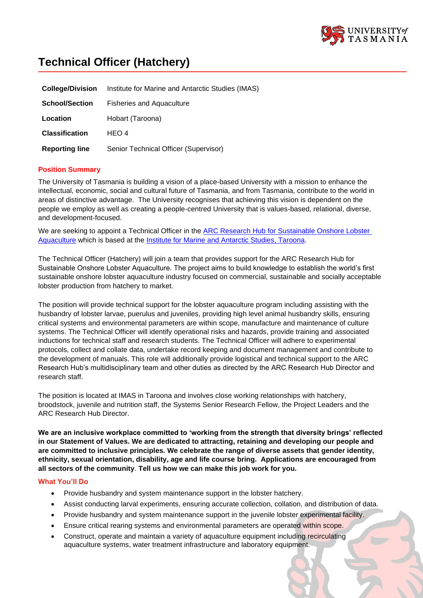

# **Technical Officer (Hatchery)**

| <b>College/Division</b> | Institute for Marine and Antarctic Studies (IMAS) |
|-------------------------|---------------------------------------------------|
| <b>School/Section</b>   | <b>Fisheries and Aquaculture</b>                  |
| Location                | Hobart (Taroona)                                  |
| <b>Classification</b>   | HFO 4                                             |
| <b>Reporting line</b>   | Senior Technical Officer (Supervisor)             |

### **Position Summary**

The University of Tasmania is building a vision of a place-based University with a mission to enhance the intellectual, economic, social and cultural future of Tasmania, and from Tasmania, contribute to the world in areas of distinctive advantage. The University recognises that achieving this vision is dependent on the people we employ as well as creating a people-centred University that is values-based, relational, diverse, and development-focused.

We are seeking to appoint a Technical Officer in the ARC Research Hub for Sustainable Onshore Lobster [Aquaculture](http://imas.utas.edu.au/research/arc-research-hub-for-sustainable-onshore-lobster-aquaculture) which is based at the Institute for Marine [and Antarctic Studies,](http://www.imas.utas.edu.au/) Taroona.

The Technical Officer (Hatchery) will join a team that provides support for the ARC Research Hub for Sustainable Onshore Lobster Aquaculture. The project aims to build knowledge to establish the world's first sustainable onshore lobster aquaculture industry focused on commercial, sustainable and socially acceptable lobster production from hatchery to market.

The position will provide technical support for the lobster aquaculture program including assisting with the husbandry of lobster larvae, puerulus and juveniles, providing high level animal husbandry skills, ensuring critical systems and environmental parameters are within scope, manufacture and maintenance of culture systems. The Technical Officer will identify operational risks and hazards, provide training and associated inductions for technical staff and research students. The Technical Officer will adhere to experimental protocols, collect and collate data, undertake record keeping and document management and contribute to the development of manuals. This role will additionally provide logistical and technical support to the ARC Research Hub's multidisciplinary team and other duties as directed by the ARC Research Hub Director and research staff.

The position is located at IMAS in Taroona and involves close working relationships with hatchery, broodstock, juvenile and nutrition staff, the Systems Senior Research Fellow, the Project Leaders and the ARC Research Hub Director.

**We are an inclusive workplace committed to 'working from the strength that diversity brings' reflected in our Statement of Values. We are dedicated to attracting, retaining and developing our people and are committed to inclusive principles. We celebrate the range of diverse assets that gender identity, ethnicity, sexual orientation, disability, age and life course bring. Applications are encouraged from all sectors of the community**. **Tell us how we can make this job work for you.**

#### **What You'll Do**

- Provide husbandry and system maintenance support in the lobster hatchery.
- Assist conducting larval experiments, ensuring accurate collection, collation, and distribution of data.
- Provide husbandry and system maintenance support in the juvenile lobster experimental facility.
- Ensure critical rearing systems and environmental parameters are operated within scope.
- Construct, operate and maintain a variety of aquaculture equipment including recirculating aquaculture systems, water treatment infrastructure and laboratory equipment.